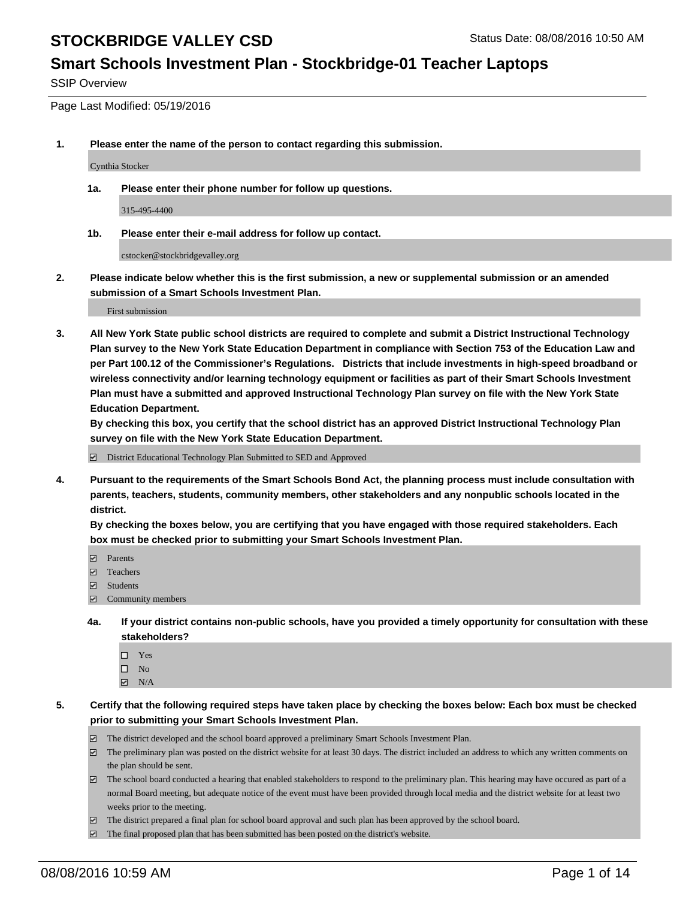#### **Smart Schools Investment Plan - Stockbridge-01 Teacher Laptops**

SSIP Overview

Page Last Modified: 05/19/2016

**1. Please enter the name of the person to contact regarding this submission.**

Cynthia Stocker

**1a. Please enter their phone number for follow up questions.**

315-495-4400

**1b. Please enter their e-mail address for follow up contact.**

cstocker@stockbridgevalley.org

**2. Please indicate below whether this is the first submission, a new or supplemental submission or an amended submission of a Smart Schools Investment Plan.**

First submission

**3. All New York State public school districts are required to complete and submit a District Instructional Technology Plan survey to the New York State Education Department in compliance with Section 753 of the Education Law and per Part 100.12 of the Commissioner's Regulations. Districts that include investments in high-speed broadband or wireless connectivity and/or learning technology equipment or facilities as part of their Smart Schools Investment Plan must have a submitted and approved Instructional Technology Plan survey on file with the New York State Education Department.** 

**By checking this box, you certify that the school district has an approved District Instructional Technology Plan survey on file with the New York State Education Department.**

District Educational Technology Plan Submitted to SED and Approved

**4. Pursuant to the requirements of the Smart Schools Bond Act, the planning process must include consultation with parents, teachers, students, community members, other stakeholders and any nonpublic schools located in the district.** 

**By checking the boxes below, you are certifying that you have engaged with those required stakeholders. Each box must be checked prior to submitting your Smart Schools Investment Plan.**

- **Parents**
- Teachers
- Students
- Community members
- **4a. If your district contains non-public schools, have you provided a timely opportunity for consultation with these stakeholders?**
	- $\Box$  Yes  $\square$  No
	- $\boxtimes$  N/A
- **5. Certify that the following required steps have taken place by checking the boxes below: Each box must be checked prior to submitting your Smart Schools Investment Plan.**
	- The district developed and the school board approved a preliminary Smart Schools Investment Plan.
	- $\boxdot$  The preliminary plan was posted on the district website for at least 30 days. The district included an address to which any written comments on the plan should be sent.
	- The school board conducted a hearing that enabled stakeholders to respond to the preliminary plan. This hearing may have occured as part of a normal Board meeting, but adequate notice of the event must have been provided through local media and the district website for at least two weeks prior to the meeting.
	- The district prepared a final plan for school board approval and such plan has been approved by the school board.
	- $\boxdot$  The final proposed plan that has been submitted has been posted on the district's website.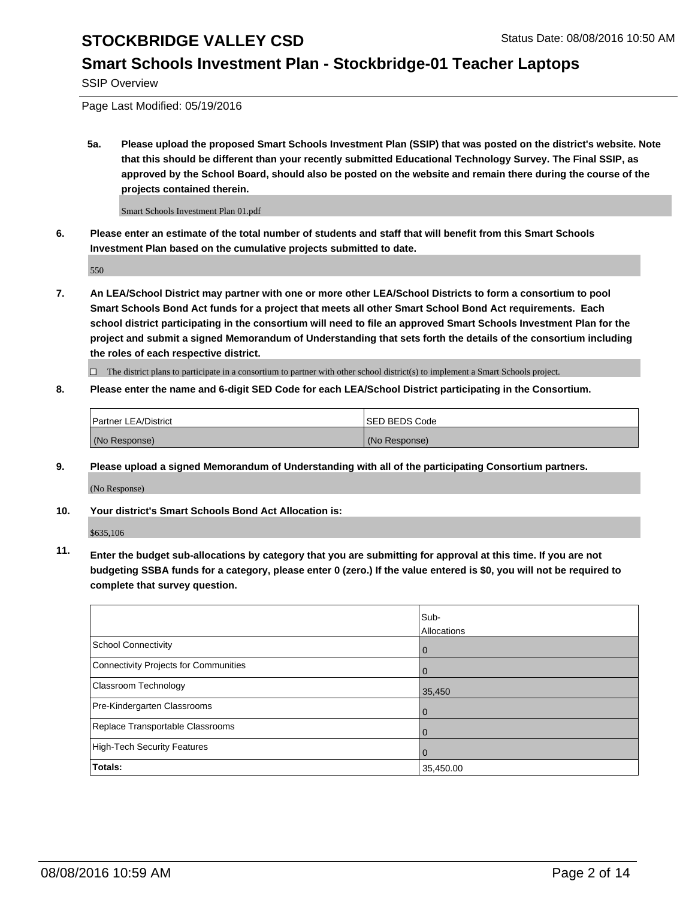#### **Smart Schools Investment Plan - Stockbridge-01 Teacher Laptops**

SSIP Overview

Page Last Modified: 05/19/2016

**5a. Please upload the proposed Smart Schools Investment Plan (SSIP) that was posted on the district's website. Note that this should be different than your recently submitted Educational Technology Survey. The Final SSIP, as approved by the School Board, should also be posted on the website and remain there during the course of the projects contained therein.**

Smart Schools Investment Plan 01.pdf

**6. Please enter an estimate of the total number of students and staff that will benefit from this Smart Schools Investment Plan based on the cumulative projects submitted to date.**

550

**7. An LEA/School District may partner with one or more other LEA/School Districts to form a consortium to pool Smart Schools Bond Act funds for a project that meets all other Smart School Bond Act requirements. Each school district participating in the consortium will need to file an approved Smart Schools Investment Plan for the project and submit a signed Memorandum of Understanding that sets forth the details of the consortium including the roles of each respective district.**

 $\Box$  The district plans to participate in a consortium to partner with other school district(s) to implement a Smart Schools project.

#### **8. Please enter the name and 6-digit SED Code for each LEA/School District participating in the Consortium.**

| <b>Partner LEA/District</b> | <b>ISED BEDS Code</b> |
|-----------------------------|-----------------------|
| (No Response)               | (No Response)         |

**9. Please upload a signed Memorandum of Understanding with all of the participating Consortium partners.**

(No Response)

**10. Your district's Smart Schools Bond Act Allocation is:**

\$635,106

**11. Enter the budget sub-allocations by category that you are submitting for approval at this time. If you are not budgeting SSBA funds for a category, please enter 0 (zero.) If the value entered is \$0, you will not be required to complete that survey question.**

|                                       | Sub-        |
|---------------------------------------|-------------|
|                                       | Allocations |
| <b>School Connectivity</b>            | 0           |
| Connectivity Projects for Communities | $\Omega$    |
| Classroom Technology                  | 35,450      |
| Pre-Kindergarten Classrooms           | $\Omega$    |
| Replace Transportable Classrooms      | $\Omega$    |
| High-Tech Security Features           | $\Omega$    |
| <b>Totals:</b>                        | 35,450.00   |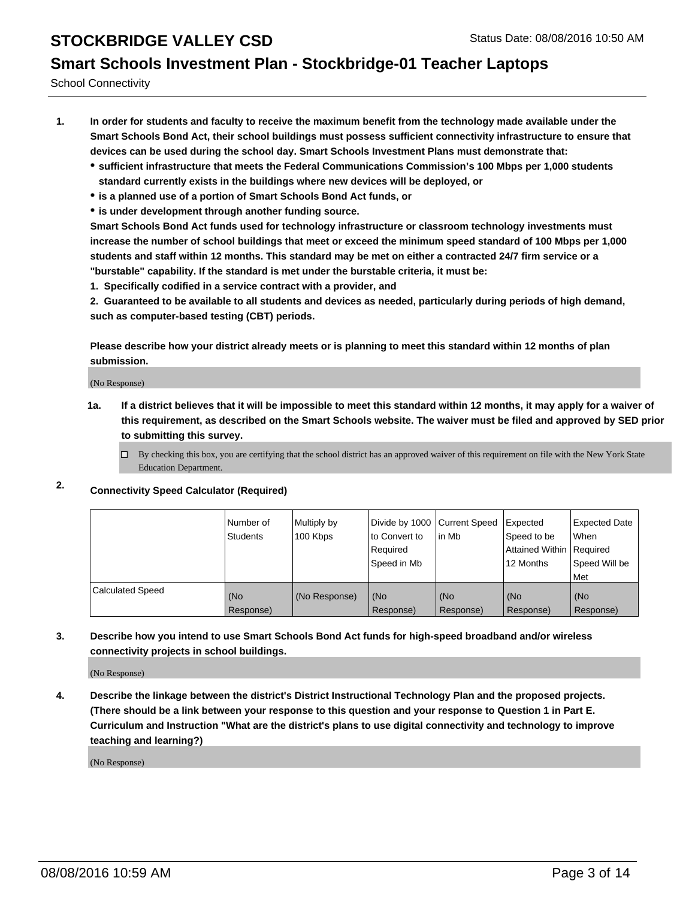# **Smart Schools Investment Plan - Stockbridge-01 Teacher Laptops**

School Connectivity

- **1. In order for students and faculty to receive the maximum benefit from the technology made available under the Smart Schools Bond Act, their school buildings must possess sufficient connectivity infrastructure to ensure that devices can be used during the school day. Smart Schools Investment Plans must demonstrate that:**
	- **sufficient infrastructure that meets the Federal Communications Commission's 100 Mbps per 1,000 students standard currently exists in the buildings where new devices will be deployed, or**
	- **is a planned use of a portion of Smart Schools Bond Act funds, or**
	- **is under development through another funding source.**

**Smart Schools Bond Act funds used for technology infrastructure or classroom technology investments must increase the number of school buildings that meet or exceed the minimum speed standard of 100 Mbps per 1,000 students and staff within 12 months. This standard may be met on either a contracted 24/7 firm service or a "burstable" capability. If the standard is met under the burstable criteria, it must be:**

**1. Specifically codified in a service contract with a provider, and**

**2. Guaranteed to be available to all students and devices as needed, particularly during periods of high demand, such as computer-based testing (CBT) periods.**

**Please describe how your district already meets or is planning to meet this standard within 12 months of plan submission.**

(No Response)

- **1a. If a district believes that it will be impossible to meet this standard within 12 months, it may apply for a waiver of this requirement, as described on the Smart Schools website. The waiver must be filed and approved by SED prior to submitting this survey.**
	- $\Box$  By checking this box, you are certifying that the school district has an approved waiver of this requirement on file with the New York State Education Department.
- **2. Connectivity Speed Calculator (Required)**

|                         | Number of<br><b>Students</b> | Multiply by<br>100 Kbps | Divide by 1000 Current Speed<br>to Convert to<br>Required<br>Speed in Mb | in Mb            | Expected<br>Speed to be<br>Attained Within Required<br>12 Months | <b>Expected Date</b><br><b>When</b><br>Speed Will be<br><b>Met</b> |
|-------------------------|------------------------------|-------------------------|--------------------------------------------------------------------------|------------------|------------------------------------------------------------------|--------------------------------------------------------------------|
| <b>Calculated Speed</b> | (No<br>Response)             | (No Response)           | (No<br>Response)                                                         | (No<br>Response) | (No<br>Response)                                                 | (No<br>Response)                                                   |

#### **3. Describe how you intend to use Smart Schools Bond Act funds for high-speed broadband and/or wireless connectivity projects in school buildings.**

(No Response)

**4. Describe the linkage between the district's District Instructional Technology Plan and the proposed projects. (There should be a link between your response to this question and your response to Question 1 in Part E. Curriculum and Instruction "What are the district's plans to use digital connectivity and technology to improve teaching and learning?)**

(No Response)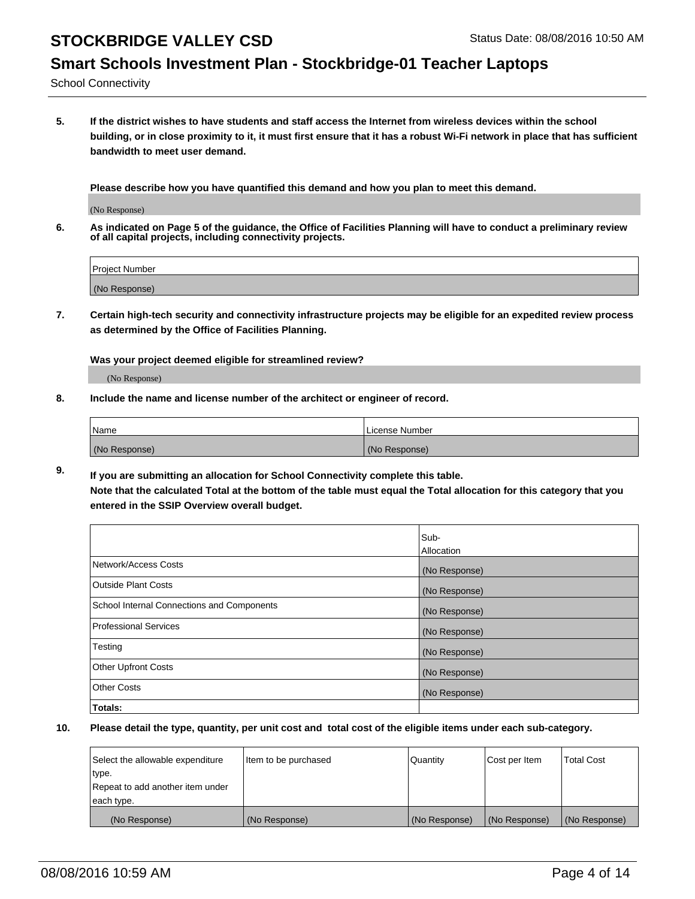#### **Smart Schools Investment Plan - Stockbridge-01 Teacher Laptops**

School Connectivity

**5. If the district wishes to have students and staff access the Internet from wireless devices within the school building, or in close proximity to it, it must first ensure that it has a robust Wi-Fi network in place that has sufficient bandwidth to meet user demand.**

**Please describe how you have quantified this demand and how you plan to meet this demand.**

(No Response)

**6. As indicated on Page 5 of the guidance, the Office of Facilities Planning will have to conduct a preliminary review of all capital projects, including connectivity projects.**

| <b>Project Number</b> |  |
|-----------------------|--|
|                       |  |
| (No Response)         |  |

**7. Certain high-tech security and connectivity infrastructure projects may be eligible for an expedited review process as determined by the Office of Facilities Planning.**

**Was your project deemed eligible for streamlined review?**

(No Response)

**8. Include the name and license number of the architect or engineer of record.**

| Name          | License Number |
|---------------|----------------|
| (No Response) | (No Response)  |

**9. If you are submitting an allocation for School Connectivity complete this table. Note that the calculated Total at the bottom of the table must equal the Total allocation for this category that you entered in the SSIP Overview overall budget.** 

|                                            | Sub-          |
|--------------------------------------------|---------------|
|                                            | Allocation    |
| Network/Access Costs                       | (No Response) |
| <b>Outside Plant Costs</b>                 | (No Response) |
| School Internal Connections and Components | (No Response) |
| <b>Professional Services</b>               | (No Response) |
| Testing                                    | (No Response) |
| <b>Other Upfront Costs</b>                 | (No Response) |
| <b>Other Costs</b>                         | (No Response) |
| Totals:                                    |               |

| Select the allowable expenditure | Item to be purchased | Quantity      | Cost per Item | <b>Total Cost</b> |
|----------------------------------|----------------------|---------------|---------------|-------------------|
| type.                            |                      |               |               |                   |
| Repeat to add another item under |                      |               |               |                   |
| each type.                       |                      |               |               |                   |
| (No Response)                    | (No Response)        | (No Response) | (No Response) | (No Response)     |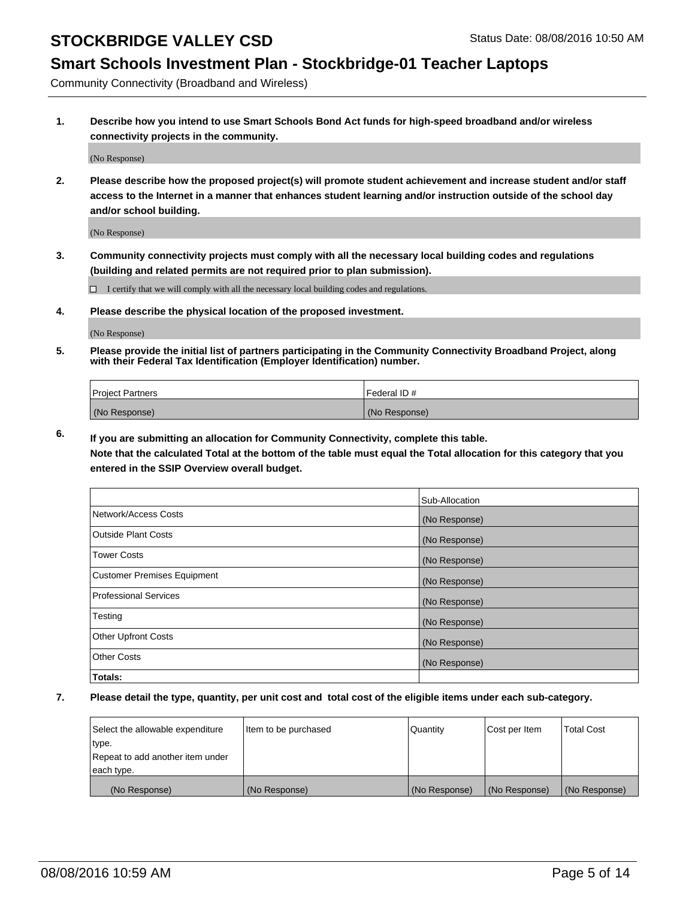### **Smart Schools Investment Plan - Stockbridge-01 Teacher Laptops**

Community Connectivity (Broadband and Wireless)

**1. Describe how you intend to use Smart Schools Bond Act funds for high-speed broadband and/or wireless connectivity projects in the community.**

(No Response)

**2. Please describe how the proposed project(s) will promote student achievement and increase student and/or staff access to the Internet in a manner that enhances student learning and/or instruction outside of the school day and/or school building.**

(No Response)

**3. Community connectivity projects must comply with all the necessary local building codes and regulations (building and related permits are not required prior to plan submission).**

 $\Box$  I certify that we will comply with all the necessary local building codes and regulations.

**4. Please describe the physical location of the proposed investment.**

(No Response)

**5. Please provide the initial list of partners participating in the Community Connectivity Broadband Project, along with their Federal Tax Identification (Employer Identification) number.**

| <b>Project Partners</b> | <b>IFederal ID#</b> |
|-------------------------|---------------------|
| (No Response)           | (No Response)       |

**6. If you are submitting an allocation for Community Connectivity, complete this table.**

**Note that the calculated Total at the bottom of the table must equal the Total allocation for this category that you entered in the SSIP Overview overall budget.**

|                                    | Sub-Allocation |
|------------------------------------|----------------|
| Network/Access Costs               | (No Response)  |
| Outside Plant Costs                | (No Response)  |
| <b>Tower Costs</b>                 | (No Response)  |
| <b>Customer Premises Equipment</b> | (No Response)  |
| Professional Services              | (No Response)  |
| Testing                            | (No Response)  |
| <b>Other Upfront Costs</b>         | (No Response)  |
| Other Costs                        | (No Response)  |
| Totals:                            |                |

| Select the allowable expenditure | Item to be purchased | Quantity      | Cost per Item | <b>Total Cost</b> |
|----------------------------------|----------------------|---------------|---------------|-------------------|
| type.                            |                      |               |               |                   |
| Repeat to add another item under |                      |               |               |                   |
| each type.                       |                      |               |               |                   |
| (No Response)                    | (No Response)        | (No Response) | (No Response) | (No Response)     |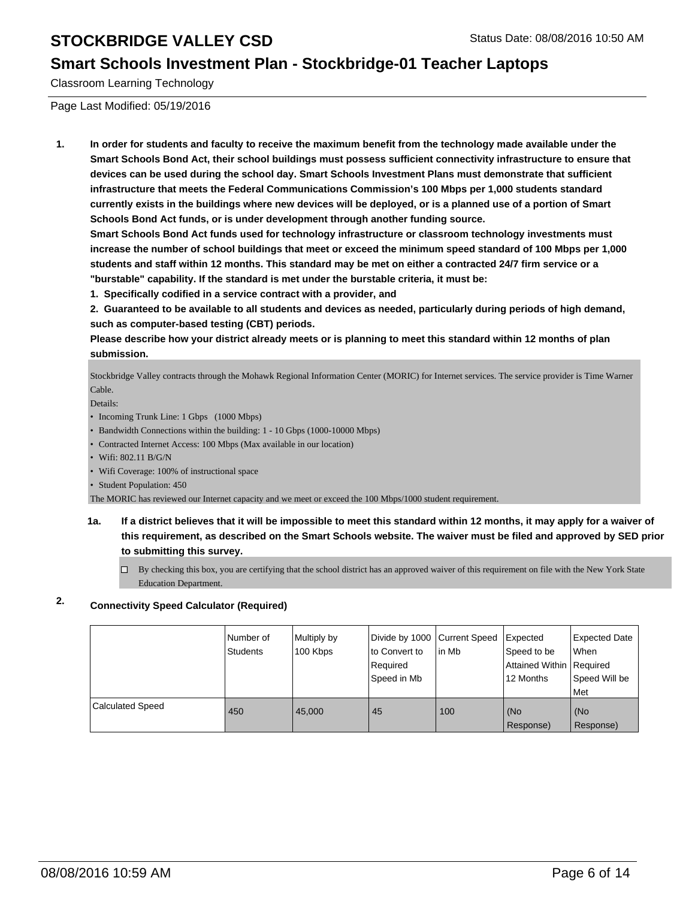#### **Smart Schools Investment Plan - Stockbridge-01 Teacher Laptops**

Classroom Learning Technology

Page Last Modified: 05/19/2016

**1. In order for students and faculty to receive the maximum benefit from the technology made available under the Smart Schools Bond Act, their school buildings must possess sufficient connectivity infrastructure to ensure that devices can be used during the school day. Smart Schools Investment Plans must demonstrate that sufficient infrastructure that meets the Federal Communications Commission's 100 Mbps per 1,000 students standard currently exists in the buildings where new devices will be deployed, or is a planned use of a portion of Smart Schools Bond Act funds, or is under development through another funding source.**

**Smart Schools Bond Act funds used for technology infrastructure or classroom technology investments must increase the number of school buildings that meet or exceed the minimum speed standard of 100 Mbps per 1,000 students and staff within 12 months. This standard may be met on either a contracted 24/7 firm service or a "burstable" capability. If the standard is met under the burstable criteria, it must be:**

**1. Specifically codified in a service contract with a provider, and**

**2. Guaranteed to be available to all students and devices as needed, particularly during periods of high demand, such as computer-based testing (CBT) periods.**

**Please describe how your district already meets or is planning to meet this standard within 12 months of plan submission.**

Stockbridge Valley contracts through the Mohawk Regional Information Center (MORIC) for Internet services. The service provider is Time Warner Cable.

Details:

- Incoming Trunk Line: 1 Gbps (1000 Mbps)
- Bandwidth Connections within the building: 1 10 Gbps (1000-10000 Mbps)
- Contracted Internet Access: 100 Mbps (Max available in our location)
- Wifi: 802.11 B/G/N
- Wifi Coverage: 100% of instructional space
- Student Population: 450

The MORIC has reviewed our Internet capacity and we meet or exceed the 100 Mbps/1000 student requirement.

**1a. If a district believes that it will be impossible to meet this standard within 12 months, it may apply for a waiver of this requirement, as described on the Smart Schools website. The waiver must be filed and approved by SED prior to submitting this survey.**

 $\Box$  By checking this box, you are certifying that the school district has an approved waiver of this requirement on file with the New York State Education Department.

#### **2. Connectivity Speed Calculator (Required)**

|                         | l Number of<br>Students | Multiply by<br>100 Kbps | Divide by 1000 Current Speed<br>Ito Convert to<br>Required<br>l Speed in Mb | lin Mb | Expected<br>Speed to be<br>Attained Within   Required<br>12 Months | Expected Date<br><b>When</b><br>Speed Will be<br>Met |
|-------------------------|-------------------------|-------------------------|-----------------------------------------------------------------------------|--------|--------------------------------------------------------------------|------------------------------------------------------|
| <b>Calculated Speed</b> | 450                     | 45,000                  | 45                                                                          | 100    | (No<br>Response)                                                   | l (No<br>Response)                                   |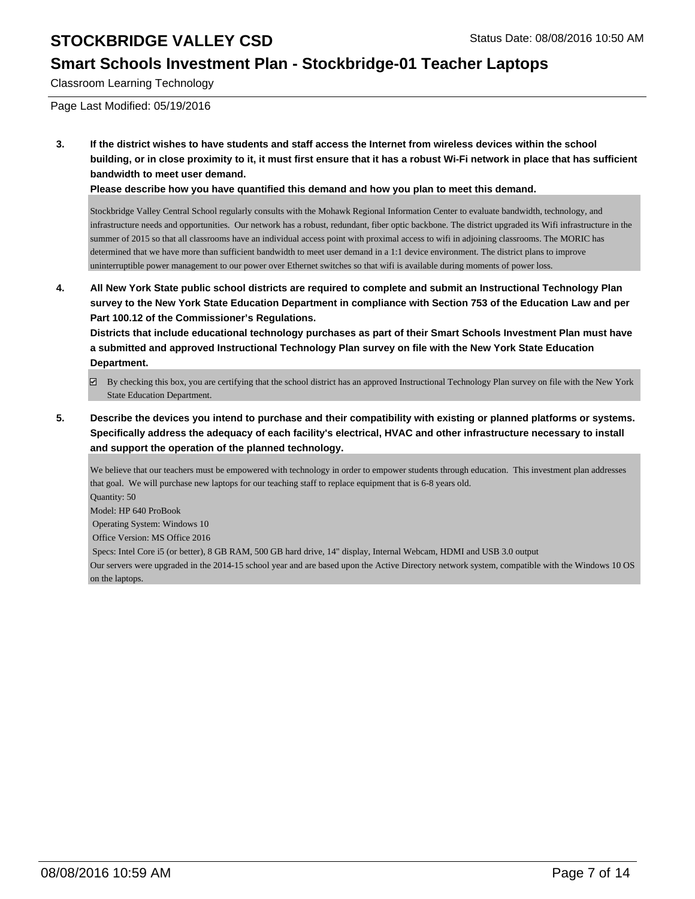#### **Smart Schools Investment Plan - Stockbridge-01 Teacher Laptops**

Classroom Learning Technology

Page Last Modified: 05/19/2016

**3. If the district wishes to have students and staff access the Internet from wireless devices within the school building, or in close proximity to it, it must first ensure that it has a robust Wi-Fi network in place that has sufficient bandwidth to meet user demand.**

**Please describe how you have quantified this demand and how you plan to meet this demand.**

Stockbridge Valley Central School regularly consults with the Mohawk Regional Information Center to evaluate bandwidth, technology, and infrastructure needs and opportunities. Our network has a robust, redundant, fiber optic backbone. The district upgraded its Wifi infrastructure in the summer of 2015 so that all classrooms have an individual access point with proximal access to wifi in adjoining classrooms. The MORIC has determined that we have more than sufficient bandwidth to meet user demand in a 1:1 device environment. The district plans to improve uninterruptible power management to our power over Ethernet switches so that wifi is available during moments of power loss.

**4. All New York State public school districts are required to complete and submit an Instructional Technology Plan survey to the New York State Education Department in compliance with Section 753 of the Education Law and per Part 100.12 of the Commissioner's Regulations.**

**Districts that include educational technology purchases as part of their Smart Schools Investment Plan must have a submitted and approved Instructional Technology Plan survey on file with the New York State Education Department.**

- By checking this box, you are certifying that the school district has an approved Instructional Technology Plan survey on file with the New York State Education Department.
- **5. Describe the devices you intend to purchase and their compatibility with existing or planned platforms or systems. Specifically address the adequacy of each facility's electrical, HVAC and other infrastructure necessary to install and support the operation of the planned technology.**

We believe that our teachers must be empowered with technology in order to empower students through education. This investment plan addresses that goal. We will purchase new laptops for our teaching staff to replace equipment that is 6-8 years old.

Quantity: 50

Model: HP 640 ProBook

Operating System: Windows 10

Office Version: MS Office 2016

Specs: Intel Core i5 (or better), 8 GB RAM, 500 GB hard drive, 14" display, Internal Webcam, HDMI and USB 3.0 output

Our servers were upgraded in the 2014-15 school year and are based upon the Active Directory network system, compatible with the Windows 10 OS on the laptops.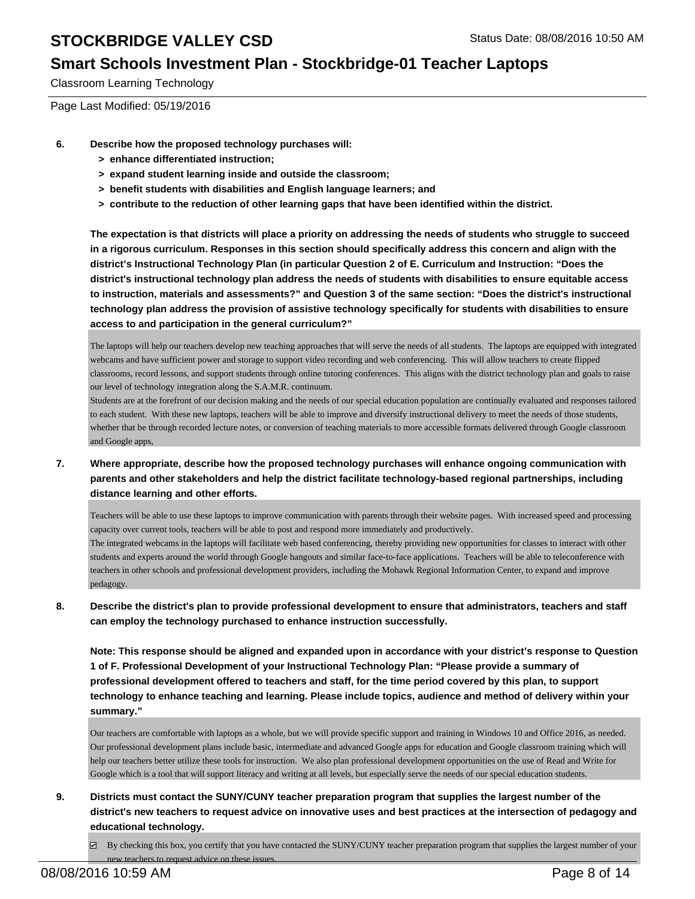#### **Smart Schools Investment Plan - Stockbridge-01 Teacher Laptops**

Classroom Learning Technology

Page Last Modified: 05/19/2016

- **6. Describe how the proposed technology purchases will:**
	- **> enhance differentiated instruction;**
	- **> expand student learning inside and outside the classroom;**
	- **> benefit students with disabilities and English language learners; and**
	- **> contribute to the reduction of other learning gaps that have been identified within the district.**

**The expectation is that districts will place a priority on addressing the needs of students who struggle to succeed in a rigorous curriculum. Responses in this section should specifically address this concern and align with the district's Instructional Technology Plan (in particular Question 2 of E. Curriculum and Instruction: "Does the district's instructional technology plan address the needs of students with disabilities to ensure equitable access to instruction, materials and assessments?" and Question 3 of the same section: "Does the district's instructional technology plan address the provision of assistive technology specifically for students with disabilities to ensure access to and participation in the general curriculum?"**

The laptops will help our teachers develop new teaching approaches that will serve the needs of all students. The laptops are equipped with integrated webcams and have sufficient power and storage to support video recording and web conferencing. This will allow teachers to create flipped classrooms, record lessons, and support students through online tutoring conferences. This aligns with the district technology plan and goals to raise our level of technology integration along the S.A.M.R. continuum.

Students are at the forefront of our decision making and the needs of our special education population are continually evaluated and responses tailored to each student. With these new laptops, teachers will be able to improve and diversify instructional delivery to meet the needs of those students, whether that be through recorded lecture notes, or conversion of teaching materials to more accessible formats delivered through Google classroom and Google apps,

**7. Where appropriate, describe how the proposed technology purchases will enhance ongoing communication with parents and other stakeholders and help the district facilitate technology-based regional partnerships, including distance learning and other efforts.**

Teachers will be able to use these laptops to improve communication with parents through their website pages. With increased speed and processing capacity over current tools, teachers will be able to post and respond more immediately and productively.

The integrated webcams in the laptops will facilitate web based conferencing, thereby providing new opportunities for classes to interact with other students and experts around the world through Google hangouts and similar face-to-face applications. Teachers will be able to teleconference with teachers in other schools and professional development providers, including the Mohawk Regional Information Center, to expand and improve pedagogy.

**8. Describe the district's plan to provide professional development to ensure that administrators, teachers and staff can employ the technology purchased to enhance instruction successfully.**

**Note: This response should be aligned and expanded upon in accordance with your district's response to Question 1 of F. Professional Development of your Instructional Technology Plan: "Please provide a summary of professional development offered to teachers and staff, for the time period covered by this plan, to support technology to enhance teaching and learning. Please include topics, audience and method of delivery within your summary."**

Our teachers are comfortable with laptops as a whole, but we will provide specific support and training in Windows 10 and Office 2016, as needed. Our professional development plans include basic, intermediate and advanced Google apps for education and Google classroom training which will help our teachers better utilize these tools for instruction. We also plan professional development opportunities on the use of Read and Write for Google which is a tool that will support literacy and writing at all levels, but especially serve the needs of our special education students.

**9. Districts must contact the SUNY/CUNY teacher preparation program that supplies the largest number of the district's new teachers to request advice on innovative uses and best practices at the intersection of pedagogy and educational technology.**

 $\Box$  By checking this box, you certify that you have contacted the SUNY/CUNY teacher preparation program that supplies the largest number of your new teachers to request advice on these issue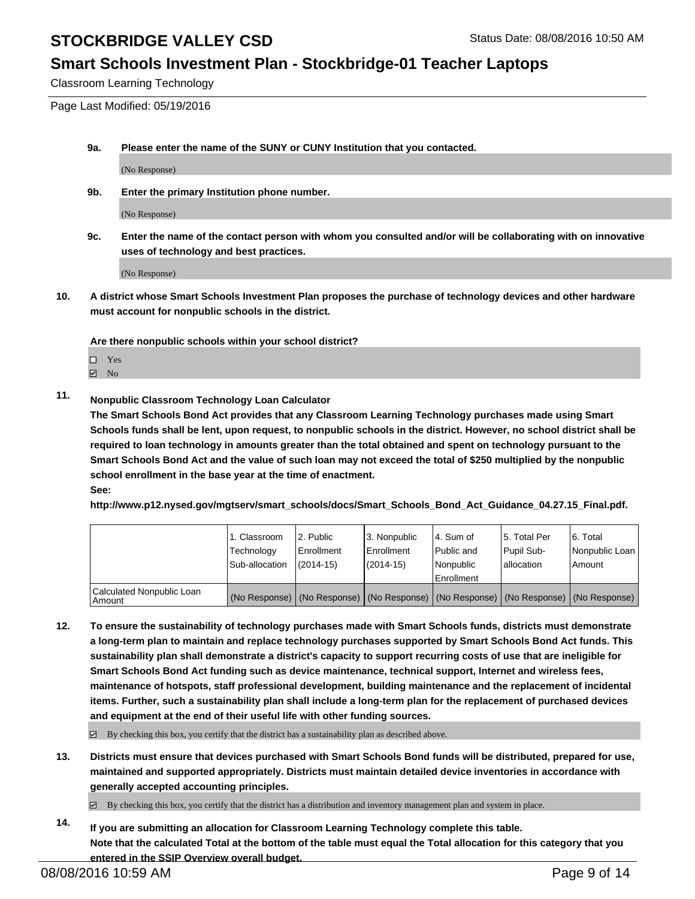#### **Smart Schools Investment Plan - Stockbridge-01 Teacher Laptops**

Classroom Learning Technology

Page Last Modified: 05/19/2016

**9a. Please enter the name of the SUNY or CUNY Institution that you contacted.**

(No Response)

**9b. Enter the primary Institution phone number.**

(No Response)

**9c. Enter the name of the contact person with whom you consulted and/or will be collaborating with on innovative uses of technology and best practices.**

(No Response)

**10. A district whose Smart Schools Investment Plan proposes the purchase of technology devices and other hardware must account for nonpublic schools in the district.**

**Are there nonpublic schools within your school district?**

□ Yes

 $\boxtimes$  No

#### **11. Nonpublic Classroom Technology Loan Calculator**

**The Smart Schools Bond Act provides that any Classroom Learning Technology purchases made using Smart Schools funds shall be lent, upon request, to nonpublic schools in the district. However, no school district shall be required to loan technology in amounts greater than the total obtained and spent on technology pursuant to the Smart Schools Bond Act and the value of such loan may not exceed the total of \$250 multiplied by the nonpublic school enrollment in the base year at the time of enactment. See:**

**http://www.p12.nysed.gov/mgtserv/smart\_schools/docs/Smart\_Schools\_Bond\_Act\_Guidance\_04.27.15\_Final.pdf.**

|                           | 1. Classroom<br>Technology | 2. Public<br><b>Enrollment</b> | 3. Nonpublic<br><b>Enrollment</b> | 4. Sum of<br>l Public and                                                                     | 5. Total Per<br>Pupil Sub- | 6. Total<br>Nonpublic Loan |
|---------------------------|----------------------------|--------------------------------|-----------------------------------|-----------------------------------------------------------------------------------------------|----------------------------|----------------------------|
|                           | Sub-allocation             | $(2014 - 15)$                  | (2014-15)                         | Nonpublic<br>Enrollment                                                                       | lallocation                | Amount                     |
| Calculated Nonpublic Loan |                            |                                |                                   |                                                                                               |                            |                            |
| Amount                    |                            |                                |                                   | (No Response)   (No Response)   (No Response)   (No Response)   (No Response)   (No Response) |                            |                            |

**12. To ensure the sustainability of technology purchases made with Smart Schools funds, districts must demonstrate a long-term plan to maintain and replace technology purchases supported by Smart Schools Bond Act funds. This sustainability plan shall demonstrate a district's capacity to support recurring costs of use that are ineligible for Smart Schools Bond Act funding such as device maintenance, technical support, Internet and wireless fees, maintenance of hotspots, staff professional development, building maintenance and the replacement of incidental items. Further, such a sustainability plan shall include a long-term plan for the replacement of purchased devices and equipment at the end of their useful life with other funding sources.**

 $\boxtimes$  By checking this box, you certify that the district has a sustainability plan as described above.

- **13. Districts must ensure that devices purchased with Smart Schools Bond funds will be distributed, prepared for use, maintained and supported appropriately. Districts must maintain detailed device inventories in accordance with generally accepted accounting principles.**
	- $\boxtimes$  By checking this box, you certify that the district has a distribution and inventory management plan and system in place.
- **14. If you are submitting an allocation for Classroom Learning Technology complete this table. Note that the calculated Total at the bottom of the table must equal the Total allocation for this category that you entered in the SSIP Overview overall budget.**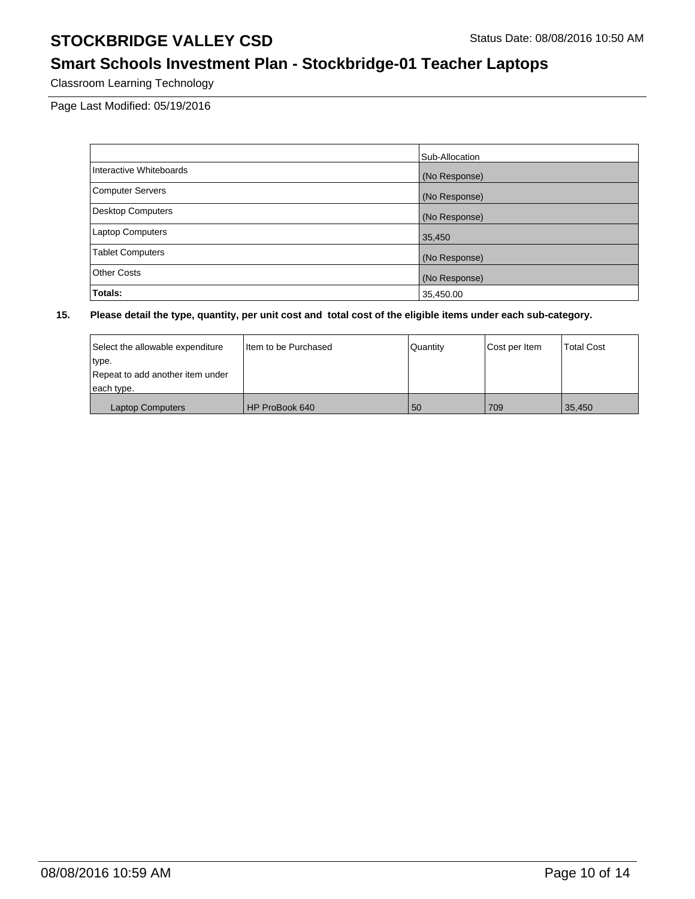# **Smart Schools Investment Plan - Stockbridge-01 Teacher Laptops**

Classroom Learning Technology

Page Last Modified: 05/19/2016

|                          | Sub-Allocation |
|--------------------------|----------------|
| Interactive Whiteboards  | (No Response)  |
| <b>Computer Servers</b>  | (No Response)  |
| <b>Desktop Computers</b> | (No Response)  |
| Laptop Computers         | 35,450         |
| <b>Tablet Computers</b>  | (No Response)  |
| <b>Other Costs</b>       | (No Response)  |
| Totals:                  | 35,450.00      |

| Select the allowable expenditure | I Item to be Purchased | Quantity | Cost per Item | <b>Total Cost</b> |
|----------------------------------|------------------------|----------|---------------|-------------------|
| type.                            |                        |          |               |                   |
| Repeat to add another item under |                        |          |               |                   |
| each type.                       |                        |          |               |                   |
| <b>Laptop Computers</b>          | HP ProBook 640         | 50       | 709           | 35,450            |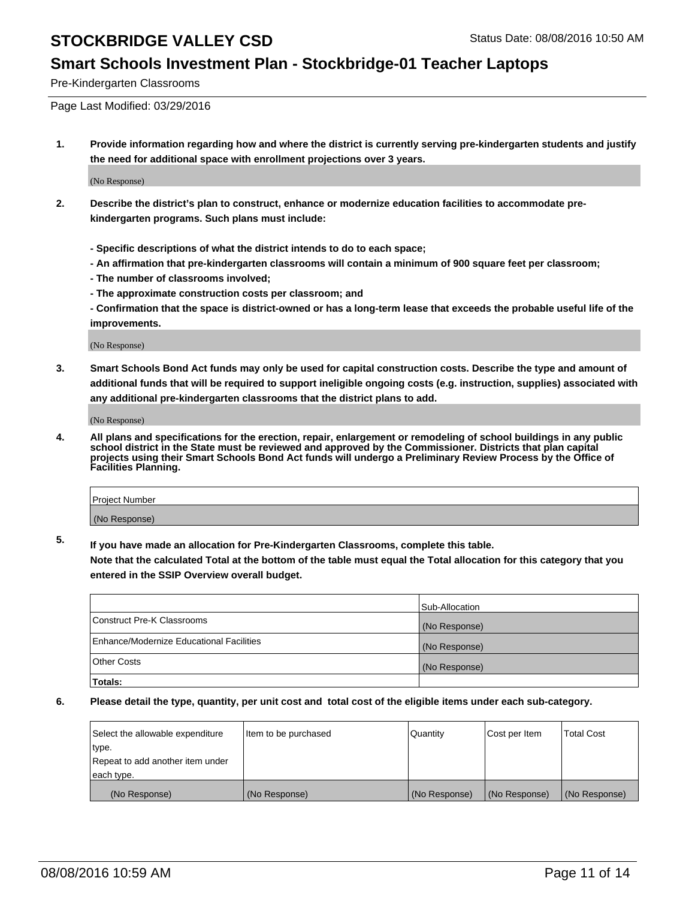#### **Smart Schools Investment Plan - Stockbridge-01 Teacher Laptops**

Pre-Kindergarten Classrooms

Page Last Modified: 03/29/2016

**1. Provide information regarding how and where the district is currently serving pre-kindergarten students and justify the need for additional space with enrollment projections over 3 years.**

(No Response)

- **2. Describe the district's plan to construct, enhance or modernize education facilities to accommodate prekindergarten programs. Such plans must include:**
	- **Specific descriptions of what the district intends to do to each space;**
	- **An affirmation that pre-kindergarten classrooms will contain a minimum of 900 square feet per classroom;**
	- **The number of classrooms involved;**
	- **The approximate construction costs per classroom; and**
	- **Confirmation that the space is district-owned or has a long-term lease that exceeds the probable useful life of the improvements.**

(No Response)

**3. Smart Schools Bond Act funds may only be used for capital construction costs. Describe the type and amount of additional funds that will be required to support ineligible ongoing costs (e.g. instruction, supplies) associated with any additional pre-kindergarten classrooms that the district plans to add.**

(No Response)

**4. All plans and specifications for the erection, repair, enlargement or remodeling of school buildings in any public school district in the State must be reviewed and approved by the Commissioner. Districts that plan capital projects using their Smart Schools Bond Act funds will undergo a Preliminary Review Process by the Office of Facilities Planning.**

| Project Number |  |
|----------------|--|
| (No Response)  |  |

**5. If you have made an allocation for Pre-Kindergarten Classrooms, complete this table.**

**Note that the calculated Total at the bottom of the table must equal the Total allocation for this category that you entered in the SSIP Overview overall budget.**

|                                          | Sub-Allocation |
|------------------------------------------|----------------|
| Construct Pre-K Classrooms               | (No Response)  |
| Enhance/Modernize Educational Facilities | (No Response)  |
| Other Costs                              | (No Response)  |
| Totals:                                  |                |

| Select the allowable expenditure | litem to be purchased | Quantity      | Cost per Item | <b>Total Cost</b> |
|----------------------------------|-----------------------|---------------|---------------|-------------------|
| type.                            |                       |               |               |                   |
| Repeat to add another item under |                       |               |               |                   |
| each type.                       |                       |               |               |                   |
| (No Response)                    | (No Response)         | (No Response) | (No Response) | (No Response)     |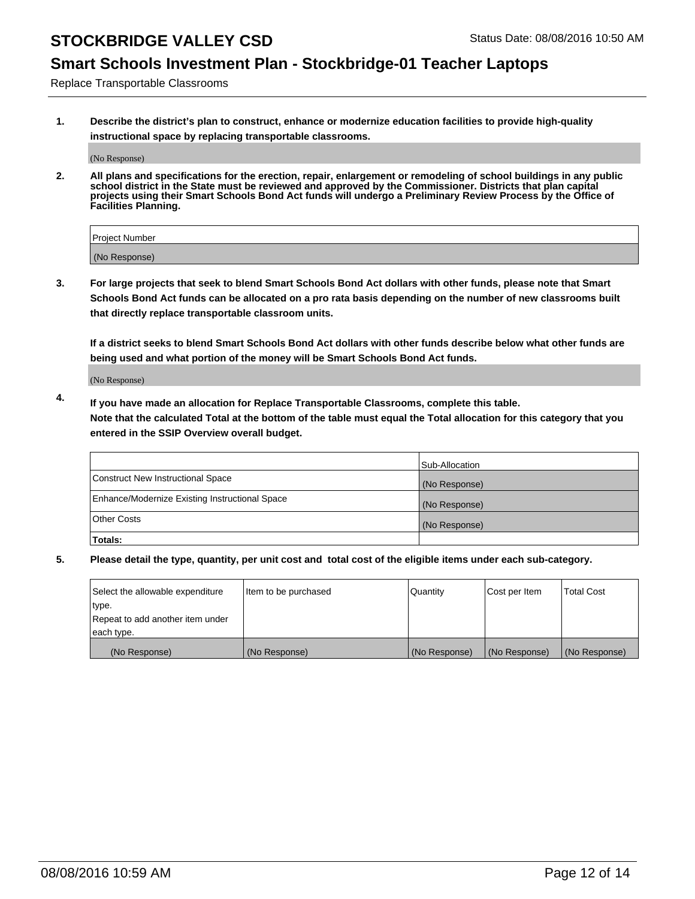# **Smart Schools Investment Plan - Stockbridge-01 Teacher Laptops**

Replace Transportable Classrooms

**1. Describe the district's plan to construct, enhance or modernize education facilities to provide high-quality instructional space by replacing transportable classrooms.**

(No Response)

**2. All plans and specifications for the erection, repair, enlargement or remodeling of school buildings in any public school district in the State must be reviewed and approved by the Commissioner. Districts that plan capital projects using their Smart Schools Bond Act funds will undergo a Preliminary Review Process by the Office of Facilities Planning.**

| Project Number |  |
|----------------|--|
|                |  |
| (No Response)  |  |

**3. For large projects that seek to blend Smart Schools Bond Act dollars with other funds, please note that Smart Schools Bond Act funds can be allocated on a pro rata basis depending on the number of new classrooms built that directly replace transportable classroom units.**

**If a district seeks to blend Smart Schools Bond Act dollars with other funds describe below what other funds are being used and what portion of the money will be Smart Schools Bond Act funds.**

(No Response)

**4. If you have made an allocation for Replace Transportable Classrooms, complete this table. Note that the calculated Total at the bottom of the table must equal the Total allocation for this category that you entered in the SSIP Overview overall budget.**

|                                                | Sub-Allocation |
|------------------------------------------------|----------------|
| Construct New Instructional Space              | (No Response)  |
| Enhance/Modernize Existing Instructional Space | (No Response)  |
| Other Costs                                    | (No Response)  |
| Totals:                                        |                |

| Select the allowable expenditure | Item to be purchased | Quantity      | Cost per Item | <b>Total Cost</b> |
|----------------------------------|----------------------|---------------|---------------|-------------------|
| type.                            |                      |               |               |                   |
| Repeat to add another item under |                      |               |               |                   |
| each type.                       |                      |               |               |                   |
| (No Response)                    | (No Response)        | (No Response) | (No Response) | (No Response)     |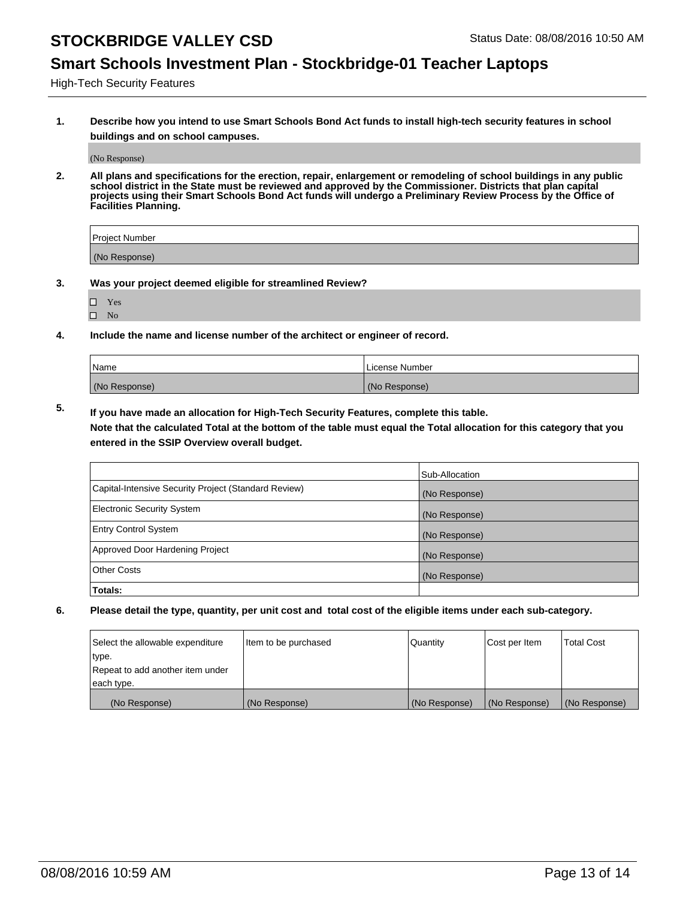#### **Smart Schools Investment Plan - Stockbridge-01 Teacher Laptops**

High-Tech Security Features

**1. Describe how you intend to use Smart Schools Bond Act funds to install high-tech security features in school buildings and on school campuses.**

(No Response)

**2. All plans and specifications for the erection, repair, enlargement or remodeling of school buildings in any public school district in the State must be reviewed and approved by the Commissioner. Districts that plan capital projects using their Smart Schools Bond Act funds will undergo a Preliminary Review Process by the Office of Facilities Planning.** 

| Project Number |  |
|----------------|--|
| (No Response)  |  |

- **3. Was your project deemed eligible for streamlined Review?**
	- Yes
	- $\square$  No
- **4. Include the name and license number of the architect or engineer of record.**

| Name          | License Number |
|---------------|----------------|
| (No Response) | (No Response)  |

**5. If you have made an allocation for High-Tech Security Features, complete this table.**

**Note that the calculated Total at the bottom of the table must equal the Total allocation for this category that you entered in the SSIP Overview overall budget.**

|                                                      | Sub-Allocation |
|------------------------------------------------------|----------------|
| Capital-Intensive Security Project (Standard Review) | (No Response)  |
| <b>Electronic Security System</b>                    | (No Response)  |
| <b>Entry Control System</b>                          | (No Response)  |
| Approved Door Hardening Project                      | (No Response)  |
| <b>Other Costs</b>                                   | (No Response)  |
| Totals:                                              |                |

| Select the allowable expenditure | Item to be purchased | Quantity      | Cost per Item | <b>Total Cost</b> |
|----------------------------------|----------------------|---------------|---------------|-------------------|
| type.                            |                      |               |               |                   |
| Repeat to add another item under |                      |               |               |                   |
| each type.                       |                      |               |               |                   |
| (No Response)                    | (No Response)        | (No Response) | (No Response) | (No Response)     |